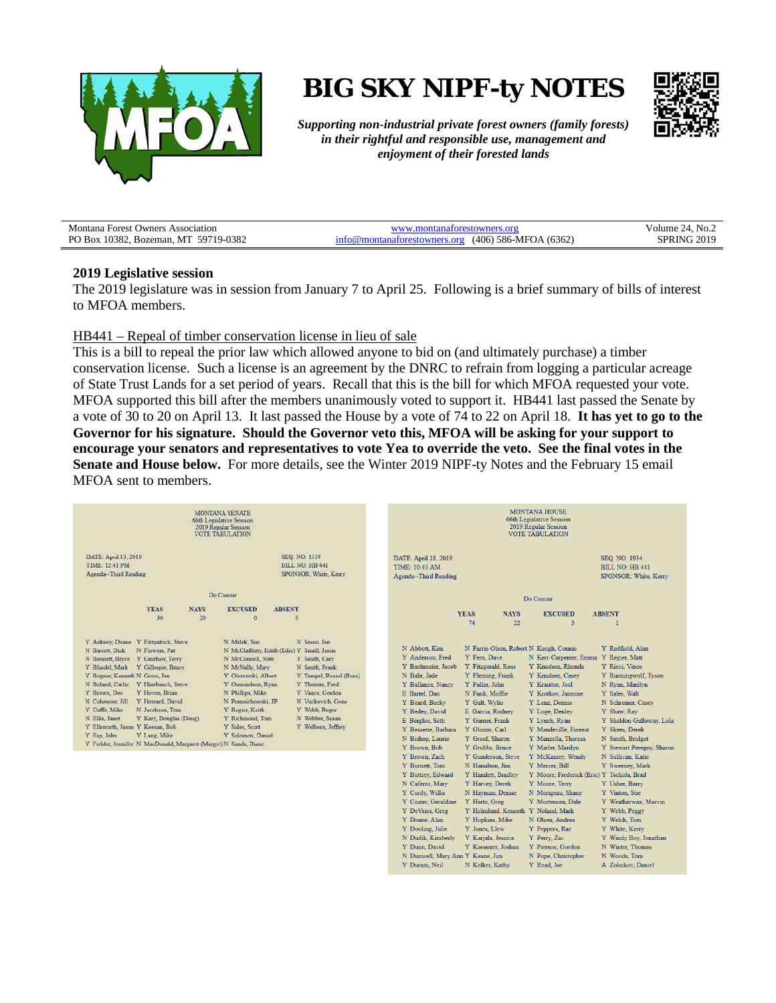

# **BIG SKY NIPF-ty NOTES**



N Woods, Tom

A Zolnikov, Daniel

N Pope, Christopher

Y Read, Joe

*Supporting non-industrial private forest owners (family forests) in their rightful and responsible use, management and enjoyment of their forested lands*

| <b>Montana Forest Owners Association</b> | ww montanatorestowners ors                    | Volume 24, $No. \angle$ |
|------------------------------------------|-----------------------------------------------|-------------------------|
| PO Box 10382, Bozeman, MT 59719-0382     | nontanaforestowners.org (406) 586-MFOA (6362) | 3PRING 2019             |

#### **2019 Legislative session**

The 2019 legislature was in session from January 7 to April 25. Following is a brief summary of bills of interest to MFOA members.

#### HB441 – Repeal of timber conservation license in lieu of sale

This is a bill to repeal the prior law which allowed anyone to bid on (and ultimately purchase) a timber conservation license. Such a license is an agreement by the DNRC to refrain from logging a particular acreage of State Trust Lands for a set period of years. Recall that this is the bill for which MFOA requested your vote. MFOA supported this bill after the members unanimously voted to support it. HB441 last passed the Senate by a vote of 30 to 20 on April 13. It last passed the House by a vote of 74 to 22 on April 18. **It has yet to go to the Governor for his signature. Should the Governor veto this, MFOA will be asking for your support to encourage your senators and representatives to vote Yea to override the veto. See the final votes in the Senate and House below.** For more details, see the Winter 2019 NIPF-ty Notes and the February 15 email MFOA sent to members.

| MONTANA SENATE<br>66th Legislative Session<br>2019 Regular Session<br><b>VOTE TABULATION</b>                                                                                                                                                                                                                                                                                                                                                                                                                                                                                                                                                                                                                                                                                                                                                                                                                                                                                                               | <b>MONTANA HOUSE</b><br>66th Legislative Session<br>2019 Regular Session<br><b>VOTE TABULATION</b>                                                                                                                                                                                                                                                                                                                                                                                                                                                                                                                                                                                                                                                                                                                                                                                                                                                                                    |
|------------------------------------------------------------------------------------------------------------------------------------------------------------------------------------------------------------------------------------------------------------------------------------------------------------------------------------------------------------------------------------------------------------------------------------------------------------------------------------------------------------------------------------------------------------------------------------------------------------------------------------------------------------------------------------------------------------------------------------------------------------------------------------------------------------------------------------------------------------------------------------------------------------------------------------------------------------------------------------------------------------|---------------------------------------------------------------------------------------------------------------------------------------------------------------------------------------------------------------------------------------------------------------------------------------------------------------------------------------------------------------------------------------------------------------------------------------------------------------------------------------------------------------------------------------------------------------------------------------------------------------------------------------------------------------------------------------------------------------------------------------------------------------------------------------------------------------------------------------------------------------------------------------------------------------------------------------------------------------------------------------|
| DATE: April 13, 2019<br>SEQ. NO: 1559<br><b>TIME: 12:41 PM</b><br>BILL NO: HB 441<br>Agenda-Third Reading<br>SPONSOR: White, Kerry                                                                                                                                                                                                                                                                                                                                                                                                                                                                                                                                                                                                                                                                                                                                                                                                                                                                         | DATE: April 18, 2019<br>SEQ. NO: 1934<br><b>TIME: 10:45 AM</b><br><b>BILL NO: HB 441</b><br>Agenda-Third Reading<br>SPONSOR: White, Kerry                                                                                                                                                                                                                                                                                                                                                                                                                                                                                                                                                                                                                                                                                                                                                                                                                                             |
| Do Concur                                                                                                                                                                                                                                                                                                                                                                                                                                                                                                                                                                                                                                                                                                                                                                                                                                                                                                                                                                                                  | Do Concur                                                                                                                                                                                                                                                                                                                                                                                                                                                                                                                                                                                                                                                                                                                                                                                                                                                                                                                                                                             |
| <b>YEAS</b><br><b>NAYS</b><br><b>EXCUSED</b><br><b>ABSENT</b><br>20<br>30<br>$\ddot{\mathbf{0}}$<br>$\bf{0}$                                                                                                                                                                                                                                                                                                                                                                                                                                                                                                                                                                                                                                                                                                                                                                                                                                                                                               | <b>YEAS</b><br><b>NAYS</b><br><b>EXCUSED</b><br><b>ABSENT</b><br>74<br>22<br>$\overline{3}$                                                                                                                                                                                                                                                                                                                                                                                                                                                                                                                                                                                                                                                                                                                                                                                                                                                                                           |
| Y Ankney, Duane Y Fitzpatrick, Steve<br>N Malek, Sue<br>N Sesso, Jon<br>N Barrett, Dick<br>N Flowers, Pat<br>N McClafferty, Edith (Edie) Y Small, Jason<br>N Bennett, Bryce Y Gauthier, Terry<br>N McConnell, Nate<br>Y Smith, Cary<br>Y Blasdel, Mark Y Gillespie, Bruce<br>N McNally, Mary<br>N Smith, Frank<br>Y Bogner, Kenneth N Gross, Jen<br>Y Olszewski, Albert<br>Y Tempel, Russel (Russ)<br>N Boland, Carlie Y Hinebauch, Steve<br>Y Osmundson, Ryan<br>Y Thomas, Fred<br>Y Brown, Dee<br>N Phillips, Mike<br>Y Vance, Gordon<br>Y Hoven, Brian<br>N Cohenour, Jill<br>Y Howard, David<br>N Pomnichowski, JP<br>N Vuckovich, Gene<br>Y Cuffe, Mike<br>N Jacobson, Tom<br>Y Regier, Keith<br>Y Webb, Roger<br>N Ellis, Janet<br>Y Richmond, Tom<br>N Webber, Susan<br>Y Kary, Douglas (Doug)<br>Y Ellsworth, Jason Y Keenan, Bob<br>Y Sales, Scott<br>Y Welborn, Jeffrey<br>Y Esp. John<br>Y Lang, Mike<br>Y Salomon, Daniel<br>Y Fielder, Jennifer N MacDonald, Margaret (Margie) N Sands, Diane | N Abbott, Kim<br>N Farris-Olsen, Robert N Keogh, Connie<br>Y Redfield, Alan<br>Y Anderson, Fred<br>Y Fern, Dave<br>N Kerr-Carpenter, Emma<br>Y Regier, Matt<br>Y Bachmeier, Jacob<br>Y Fitzgerald, Ross<br>Y Knudsen, Rhonda<br>Y Ricci, Vince<br>Y Knudsen, Casey<br>N Bahr, Jade<br>Y Fleming, Frank<br>Y Runningwolf, Tyson<br>Y Ballance, Nancy<br>Y Fuller, John<br>Y Krautter, Joel<br>N Ryan, Marilyn<br>Y Sales, Walt<br>E Bartel, Dan<br>N Funk, Moffie<br>Y Krotkov, Jasmine<br>Y Beard, Becky<br>Y Galt, Wylie<br>Y Lenz, Dennis<br>N Schreiner, Casey<br>Y Bedey, David<br>E Garcia, Rodney<br>Y Loge, Denley<br>Y Shaw, Ray<br>E Berglee, Seth<br>Y Sheldon-Galloway, Lola<br>Y Garner, Frank<br>Y Lynch, Ryan<br>Y Skees, Derek<br>Y Bessette, Barbara<br>Y Glimm, Carl<br>Y Mandeville, Forrest<br>N Bishop, Laurie<br>Y Greef, Sharon<br>Y Manzella, Theresa<br>N Smith, Bridget<br>Y Grubbs, Bruce<br>Y Marler, Marilyn<br>Y Brown, Bob<br>Y Stewart Peregoy, Sharon |
|                                                                                                                                                                                                                                                                                                                                                                                                                                                                                                                                                                                                                                                                                                                                                                                                                                                                                                                                                                                                            | Y Brown, Zach<br>Y Gunderson, Steve<br>Y McKamey, Wendy<br>N Sullivan, Katie<br>Y Burnett, Tom<br>N Hamilton, Jim<br>Y Mercer, Bill<br>Y Sweeney, Mark<br>Y Moore, Frederick (Eric) Y Tschida, Brad<br>Y Buttrey, Edward<br>Y Hamlett, Bradley<br>N Caferro, Mary<br>Y Harvey, Derek<br>Y Moore, Terry<br>Y Usher, Barry<br>Y Curdy, Willis<br>N Morigeau, Shane<br>Y Vinton, Sue<br>N Hayman, Denise<br>Y Custer, Geraldine<br>Y Hertz, Greg<br>Y Mortensen, Dale<br>Y Weatherwax, Marvin<br>Y DeVries, Greg<br>Y Holmlund, Kenneth Y Noland, Mark<br>Y Webb, Peggy<br>Y Doane, Alan<br>Y Hopkins, Mike<br>N Olsen, Andrea<br>Y Welch, Tom<br>Y Jones, Llew<br>Y White, Kerry<br>Y Dooling, Julie<br>Y Peppers, Rae<br>N Dudik, Kimberly<br>Y Karjala, Jessica<br>Y Perry, Zac<br>Y Windy Boy, Jonathan<br>Y Dunn, David<br>Y Kassmier, Joshua<br>Y Pierson, Gordon<br>N Winter, Thomas                                                                                              |

 $\mathcal N$ Dunwell, Mary Ann $\mathcal Y$  Keane, Jim

N Kelker, Kathy

Y Duram, Neil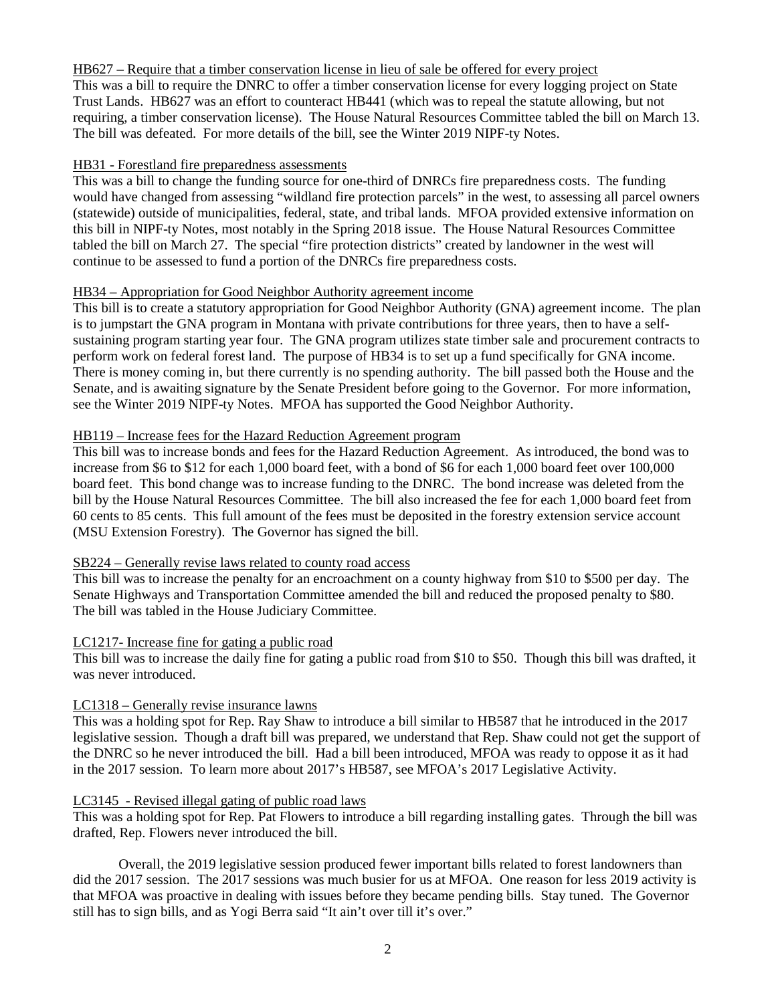# HB627 – Require that a timber conservation license in lieu of sale be offered for every project

This was a bill to require the DNRC to offer a timber conservation license for every logging project on State Trust Lands. HB627 was an effort to counteract HB441 (which was to repeal the statute allowing, but not requiring, a timber conservation license). The House Natural Resources Committee tabled the bill on March 13. The bill was defeated. For more details of the bill, see the Winter 2019 NIPF-ty Notes.

# HB31 - Forestland fire preparedness assessments

This was a bill to change the funding source for one-third of DNRCs fire preparedness costs. The funding would have changed from assessing "wildland fire protection parcels" in the west, to assessing all parcel owners (statewide) outside of municipalities, federal, state, and tribal lands. MFOA provided extensive information on this bill in NIPF-ty Notes, most notably in the Spring 2018 issue. The House Natural Resources Committee tabled the bill on March 27. The special "fire protection districts" created by landowner in the west will continue to be assessed to fund a portion of the DNRCs fire preparedness costs.

# HB34 – Appropriation for Good Neighbor Authority agreement income

This bill is to create a statutory appropriation for Good Neighbor Authority (GNA) agreement income. The plan is to jumpstart the GNA program in Montana with private contributions for three years, then to have a selfsustaining program starting year four. The GNA program utilizes state timber sale and procurement contracts to perform work on federal forest land. The purpose of HB34 is to set up a fund specifically for GNA income. There is money coming in, but there currently is no spending authority. The bill passed both the House and the Senate, and is awaiting signature by the Senate President before going to the Governor. For more information, see the Winter 2019 NIPF-ty Notes. MFOA has supported the Good Neighbor Authority.

# HB119 – Increase fees for the Hazard Reduction Agreement program

This bill was to increase bonds and fees for the Hazard Reduction Agreement. As introduced, the bond was to increase from \$6 to \$12 for each 1,000 board feet, with a bond of \$6 for each 1,000 board feet over 100,000 board feet. This bond change was to increase funding to the DNRC. The bond increase was deleted from the bill by the House Natural Resources Committee. The bill also increased the fee for each 1,000 board feet from 60 cents to 85 cents. This full amount of the fees must be deposited in the forestry extension service account (MSU Extension Forestry). The Governor has signed the bill.

### SB224 – Generally revise laws related to county road access

This bill was to increase the penalty for an encroachment on a county highway from \$10 to \$500 per day. The Senate Highways and Transportation Committee amended the bill and reduced the proposed penalty to \$80. The bill was tabled in the House Judiciary Committee.

### LC1217- Increase fine for gating a public road

This bill was to increase the daily fine for gating a public road from \$10 to \$50. Though this bill was drafted, it was never introduced.

### LC1318 – Generally revise insurance lawns

This was a holding spot for Rep. Ray Shaw to introduce a bill similar to HB587 that he introduced in the 2017 legislative session. Though a draft bill was prepared, we understand that Rep. Shaw could not get the support of the DNRC so he never introduced the bill. Had a bill been introduced, MFOA was ready to oppose it as it had in the 2017 session. To learn more about 2017's HB587, see MFOA's 2017 Legislative Activity.

### LC3145 - Revised illegal gating of public road laws

This was a holding spot for Rep. Pat Flowers to introduce a bill regarding installing gates. Through the bill was drafted, Rep. Flowers never introduced the bill.

Overall, the 2019 legislative session produced fewer important bills related to forest landowners than did the 2017 session. The 2017 sessions was much busier for us at MFOA. One reason for less 2019 activity is that MFOA was proactive in dealing with issues before they became pending bills. Stay tuned. The Governor still has to sign bills, and as Yogi Berra said "It ain't over till it's over."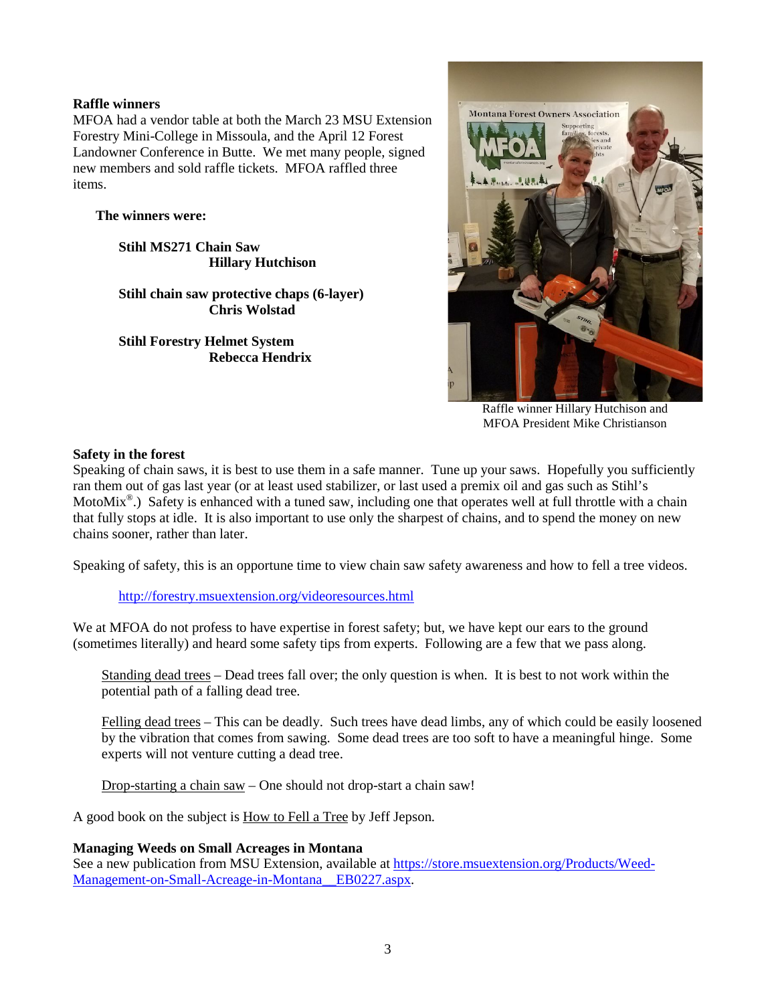# **Raffle winners**

MFOA had a vendor table at both the March 23 MSU Extension Forestry Mini-College in Missoula, and the April 12 Forest Landowner Conference in Butte. We met many people, signed new members and sold raffle tickets. MFOA raffled three items.

# **The winners were:**

**Stihl MS271 Chain Saw Hillary Hutchison**

**Stihl chain saw protective chaps (6-layer) Chris Wolstad**

**Stihl Forestry Helmet System Rebecca Hendrix**



Raffle winner Hillary Hutchison and MFOA President Mike Christianson

### **Safety in the forest**

Speaking of chain saws, it is best to use them in a safe manner. Tune up your saws. Hopefully you sufficiently ran them out of gas last year (or at least used stabilizer, or last used a premix oil and gas such as Stihl's MotoMix<sup>®</sup>.) Safety is enhanced with a tuned saw, including one that operates well at full throttle with a chain that fully stops at idle. It is also important to use only the sharpest of chains, and to spend the money on new chains sooner, rather than later.

Speaking of safety, this is an opportune time to view chain saw safety awareness and how to fell a tree videos.

<http://forestry.msuextension.org/videoresources.html>

We at MFOA do not profess to have expertise in forest safety; but, we have kept our ears to the ground (sometimes literally) and heard some safety tips from experts. Following are a few that we pass along.

Standing dead trees – Dead trees fall over; the only question is when. It is best to not work within the potential path of a falling dead tree.

Felling dead trees – This can be deadly. Such trees have dead limbs, any of which could be easily loosened by the vibration that comes from sawing. Some dead trees are too soft to have a meaningful hinge. Some experts will not venture cutting a dead tree.

Drop-starting a chain saw – One should not drop-start a chain saw!

A good book on the subject is How to Fell a Tree by Jeff Jepson.

### **Managing Weeds on Small Acreages in Montana**

See a new publication from MSU Extension, available at [https://store.msuextension.org/Products/Weed-](https://store.msuextension.org/Products/Weed-Management-on-Small-Acreage-in-Montana__EB0227.aspx)[Management-on-Small-Acreage-in-Montana\\_\\_EB0227.aspx.](https://store.msuextension.org/Products/Weed-Management-on-Small-Acreage-in-Montana__EB0227.aspx)